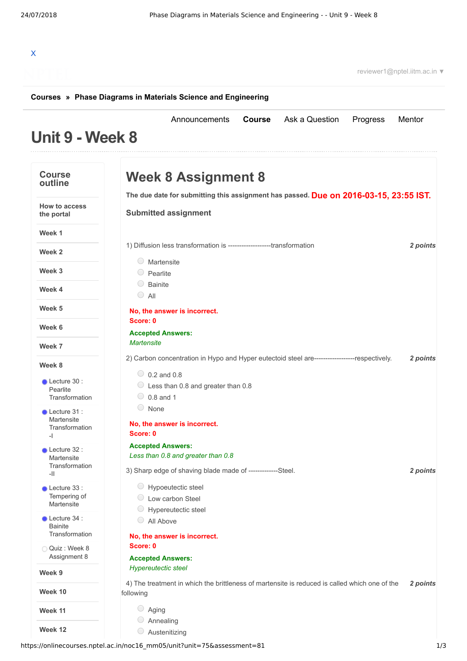## X

reviewer1@nptel.iitm.ac.in ▼

## **[Courses](https://onlinecourses.nptel.ac.in/) » [Phase Diagrams in Materials Science and Engineering](https://onlinecourses.nptel.ac.in/noc16_mm05/course)**

## **Unit 9 - Week 8** [Announcements](https://onlinecourses.nptel.ac.in/noc16_mm05/announcements) **[Course](https://onlinecourses.nptel.ac.in/noc16_mm05/course)** [Ask a Question](https://onlinecourses.nptel.ac.in/noc16_mm05/forum) [Progress](https://onlinecourses.nptel.ac.in/noc16_mm05/student/home) [Mentor](https://onlinecourses.nptel.ac.in/noc16_mm05/student/mentor) **Course outline How to access the portal Week 1 Week 2 Week 3 Week 4 Week 5 Week 6 Week 7 Week 8 Week 9 Week 10 Week 11 Week 12** Lecture 30 : Pearlite **[Transformation](https://onlinecourses.nptel.ac.in/noc16_mm05/unit?unit=75&lesson=76)** Lecture 31 : Martensite **[Transformation](https://onlinecourses.nptel.ac.in/noc16_mm05/unit?unit=75&lesson=77)** -I Lecture 32 : Martensite **[Transformation](https://onlinecourses.nptel.ac.in/noc16_mm05/unit?unit=75&lesson=78)** -II Lecture 33 : [Tempering](https://onlinecourses.nptel.ac.in/noc16_mm05/unit?unit=75&lesson=79) of Martensite Lecture 34 : **Bainite [Transformation](https://onlinecourses.nptel.ac.in/noc16_mm05/unit?unit=75&lesson=80)** Quiz : Week 8 [Assignment](https://onlinecourses.nptel.ac.in/noc16_mm05/assessment?name=81) 8 **Due on 2016-03-15, 23:55 IST. The due date for submitting this assignment has passed.** 1) *2 points* Diffusion less transformation is -------------------transformation 2) *2 points* Carbon concentration in Hypo and Hyper eutectoid steel are------------------respectively. 3) *2 points* Sharp edge of shaving blade made of -------------Steel. 4) *2 points* The treatment in which the brittleness of martensite is reduced is called which one of the **Week 8 Assignment 8 Submitted assignment** Martensite  $\circ$  Pearlite  $\circ$  Bainite  $\bigcirc$  All **No, the answer is incorrect. Score: 0 Accepted Answers:** *Martensite*  $\circ$  0.2 and 0.8  $\circ$  Less than 0.8 and greater than 0.8  $\bigcirc$  0.8 and 1 None **No, the answer is incorrect. Score: 0 Accepted Answers:** *Less than 0.8 and greater than 0.8* Hypoeutectic steel Low carbon Steel Hypereutectic steel All Above **No, the answer is incorrect. Score: 0 Accepted Answers:** *Hypereutectic steel* following Aging Annealing  $\circ$  Austenitizing

https://onlinecourses.nptel.ac.in/noc16\_mm05/unit?unit=75&assessment=81 1/3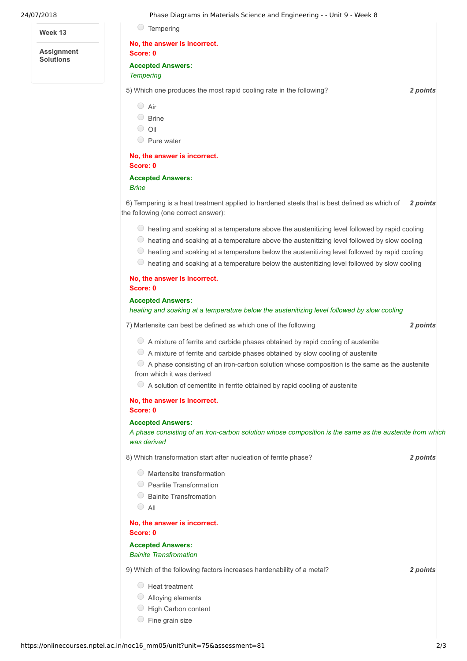| 24/07/2018                            | Phase Diagrams in Materials Science and Engineering - - Unit 9 - Week 8                                                                                                                                                                                                                         |          |
|---------------------------------------|-------------------------------------------------------------------------------------------------------------------------------------------------------------------------------------------------------------------------------------------------------------------------------------------------|----------|
| Week 13                               | $\cup$<br>Tempering                                                                                                                                                                                                                                                                             |          |
| <b>Assignment</b><br><b>Solutions</b> | No, the answer is incorrect.<br>Score: 0                                                                                                                                                                                                                                                        |          |
|                                       | <b>Accepted Answers:</b>                                                                                                                                                                                                                                                                        |          |
|                                       | <b>Tempering</b>                                                                                                                                                                                                                                                                                |          |
|                                       | 5) Which one produces the most rapid cooling rate in the following?                                                                                                                                                                                                                             | 2 points |
|                                       | $\bigcirc$ Air                                                                                                                                                                                                                                                                                  |          |
|                                       | $\circ$ Brine                                                                                                                                                                                                                                                                                   |          |
|                                       | $\bigcirc$<br>Oil                                                                                                                                                                                                                                                                               |          |
|                                       | O Pure water                                                                                                                                                                                                                                                                                    |          |
|                                       | No, the answer is incorrect.<br>Score: 0                                                                                                                                                                                                                                                        |          |
|                                       | <b>Accepted Answers:</b>                                                                                                                                                                                                                                                                        |          |
|                                       | <b>Brine</b>                                                                                                                                                                                                                                                                                    |          |
|                                       | 6) Tempering is a heat treatment applied to hardened steels that is best defined as which of<br>the following (one correct answer):                                                                                                                                                             | 2 points |
|                                       | ○ heating and soaking at a temperature above the austenitizing level followed by rapid cooling<br>© heating and soaking at a temperature above the austenitizing level followed by slow cooling<br>heating and soaking at a temperature below the austenitizing level followed by rapid cooling |          |
|                                       | O<br>heating and soaking at a temperature below the austenitizing level followed by slow cooling                                                                                                                                                                                                |          |
|                                       | No, the answer is incorrect.<br>Score: 0                                                                                                                                                                                                                                                        |          |
|                                       | <b>Accepted Answers:</b><br>heating and soaking at a temperature below the austenitizing level followed by slow cooling                                                                                                                                                                         |          |
|                                       | 7) Martensite can best be defined as which one of the following                                                                                                                                                                                                                                 | 2 points |
|                                       | A mixture of ferrite and carbide phases obtained by rapid cooling of austenite                                                                                                                                                                                                                  |          |
|                                       | $\circ$ A mixture of ferrite and carbide phases obtained by slow cooling of austenite                                                                                                                                                                                                           |          |
|                                       | $\circ$ A phase consisting of an iron-carbon solution whose composition is the same as the austenite<br>from which it was derived                                                                                                                                                               |          |
|                                       | $\circ$ A solution of cementite in ferrite obtained by rapid cooling of austenite                                                                                                                                                                                                               |          |
|                                       | No, the answer is incorrect.<br>Score: 0                                                                                                                                                                                                                                                        |          |
|                                       | <b>Accepted Answers:</b>                                                                                                                                                                                                                                                                        |          |
|                                       | A phase consisting of an iron-carbon solution whose composition is the same as the austenite from which<br>was derived                                                                                                                                                                          |          |
|                                       | 8) Which transformation start after nucleation of ferrite phase?                                                                                                                                                                                                                                | 2 points |
|                                       | Martensite transformation                                                                                                                                                                                                                                                                       |          |
|                                       | $\circ$ Pearlite Transformation                                                                                                                                                                                                                                                                 |          |
|                                       | <b>Bainite Transfromation</b>                                                                                                                                                                                                                                                                   |          |
|                                       | $\bigcirc$ All                                                                                                                                                                                                                                                                                  |          |
|                                       | No, the answer is incorrect.<br>Score: 0                                                                                                                                                                                                                                                        |          |
|                                       | <b>Accepted Answers:</b><br><b>Bainite Transfromation</b>                                                                                                                                                                                                                                       |          |
|                                       | 9) Which of the following factors increases hardenability of a metal?                                                                                                                                                                                                                           | 2 points |
|                                       | $\bigcirc$ Heat treatment                                                                                                                                                                                                                                                                       |          |

- Alloying elements
- High Carbon content
- $\circ$  Fine grain size